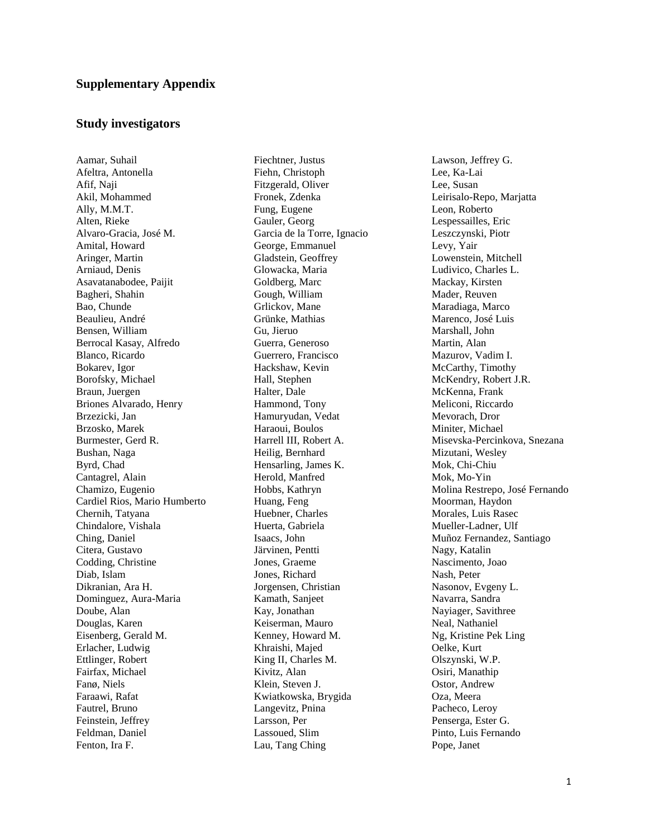# **Study investigators**

Aamar, Suhail Afeltra, Antonella Afif, Naji Akil, Mohammed Ally, M.M.T. Alten, Rieke Alvaro-Gracia, José M. Amital, Howard Aringer, Martin Arniaud, Denis Asavatanabodee, Paijit Bagheri, Shahin Bao, Chunde Beaulieu, André Bensen, William Berrocal Kasay, Alfredo Blanco, Ricardo Bokarev, Igor Borofsky, Michael Braun, Juergen Briones Alvarado, Henry Brzezicki, Jan Brzosko, Marek Burmester, Gerd R. Bushan, Naga Byrd, Chad Cantagrel, Alain Chamizo, Eugenio Cardiel Rios, Mario Humberto Chernih, Tatyana Chindalore, Vishala Ching, Daniel Citera, Gustavo Codding, Christine Diab, Islam Dikranian, Ara H. Dominguez, Aura-Maria Doube, Alan Douglas, Karen Eisenberg, Gerald M. Erlacher, Ludwig Ettlinger, Robert Fairfax, Michael Fanø, Niels Faraawi, Rafat Fautrel, Bruno Feinstein, Jeffrey Feldman, Daniel Fenton, Ira F.

Fiechtner, Justus Fiehn, Christoph Fitzgerald, Oliver Fronek, Zdenka Fung, Eugene Gauler, Georg Garcia de la Torre, Ignacio George, Emmanuel Gladstein, Geoffrey Glowacka, Maria Goldberg, Marc Gough, William Grlickov, Mane Grünke, Mathias Gu, Jieruo Guerra, Generoso Guerrero, Francisco Hackshaw, Kevin Hall, Stephen Halter, Dale Hammond, Tony Hamuryudan, Vedat Haraoui, Boulos Harrell III, Robert A. Heilig, Bernhard Hensarling, James K. Herold, Manfred Hobbs, Kathryn Huang, Feng Huebner, Charles Huerta, Gabriela Isaacs, John Järvinen, Pentti Jones, Graeme Jones, Richard Jorgensen, Christian Kamath, Sanjeet Kay, Jonathan Keiserman, Mauro Kenney, Howard M. Khraishi, Majed King II, Charles M. Kivitz, Alan Klein, Steven J. Kwiatkowska, Brygida Langevitz, Pnina Larsson, Per Lassoued, Slim Lau, Tang Ching

Lawson, Jeffrey G. Lee, Ka-Lai Lee, Susan Leirisalo-Repo, Marjatta Leon, Roberto Lespessailles, Eric Leszczynski, Piotr Levy, Yair Lowenstein, Mitchell Ludivico, Charles L. Mackay, Kirsten Mader, Reuven Maradiaga, Marco Marenco, José Luis Marshall, John Martin, Alan Mazurov, Vadim I. McCarthy, Timothy McKendry, Robert J.R. McKenna, Frank Meliconi, Riccardo Mevorach, Dror Miniter, Michael Misevska-Percinkova, Snezana Mizutani, Wesley Mok, Chi-Chiu Mok, Mo-Yin Molina Restrepo, José Fernando Moorman, Haydon Morales, Luis Rasec Mueller-Ladner, Ulf Muñoz Fernandez, Santiago Nagy, Katalin Nascimento, Joao Nash, Peter Nasonov, Evgeny L. Navarra, Sandra Nayiager, Savithree Neal, Nathaniel Ng, Kristine Pek Ling Oelke, Kurt Olszynski, W.P. Osiri, Manathip Ostor, Andrew Oza, Meera Pacheco, Leroy Penserga, Ester G. Pinto, Luis Fernando Pope, Janet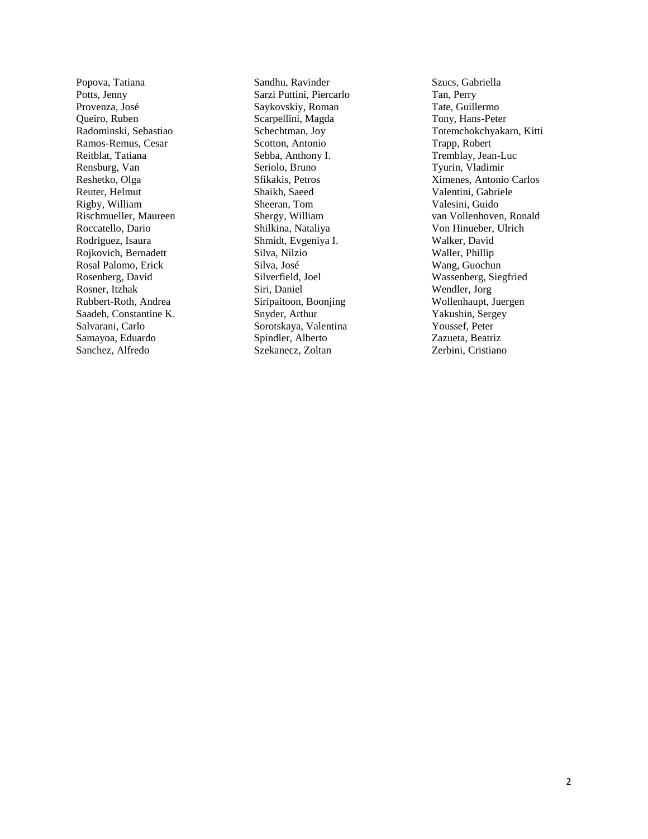Popova, Tatiana Potts, Jenny Provenza, José Queiro, Ruben Radominski, Sebastiao Ramos-Remus, Cesar Reitblat, Tatiana Rensburg, Van Reshetko, Olga Reuter, Helmut Rigby, William Rischmueller, Maureen Roccatello, Dario Rodriguez, Isaura Rojkovich, Bernadett Rosal Palomo, Erick Rosenberg, David Rosner, Itzhak Rubbert-Roth, Andrea Saadeh, Constantine K. Salvarani, Carlo Samayoa, Eduardo Sanchez, Alfredo

Sandhu, Ravinder Sarzi Puttini, Piercarlo Saykovskiy, Roman Scarpellini, Magda Schechtman, Joy Scotton, Antonio Sebba, Anthony I. Seriolo, Bruno Sfikakis, Petros Shaikh, Saeed Sheeran, Tom Shergy, William Shilkina, Nataliya Shmidt, Evgeniya I. Silva, Nilzio Silva, José Silverfield, Joel Siri, Daniel Siripaitoon, Boonjing Snyder, Arthur Sorotskaya, Valentina Spindler, Alberto Szekanecz, Zoltan

Szucs, Gabriella Tan, Perry Tate, Guillermo Tony, Hans-Peter Totemchokchyakarn, Kitti Trapp, Robert Tremblay, Jean-Luc Tyurin, Vladimir Ximenes, Antonio Carlos Valentini, Gabriele Valesini, Guido van Vollenhoven, Ronald Von Hinueber, Ulrich Walker, David Waller, Phillip Wang, Guochun Wassenberg, Siegfried Wendler, Jorg Wollenhaupt, Juergen Yakushin, Sergey Youssef, Peter Zazueta, Beatriz Zerbini, Cristiano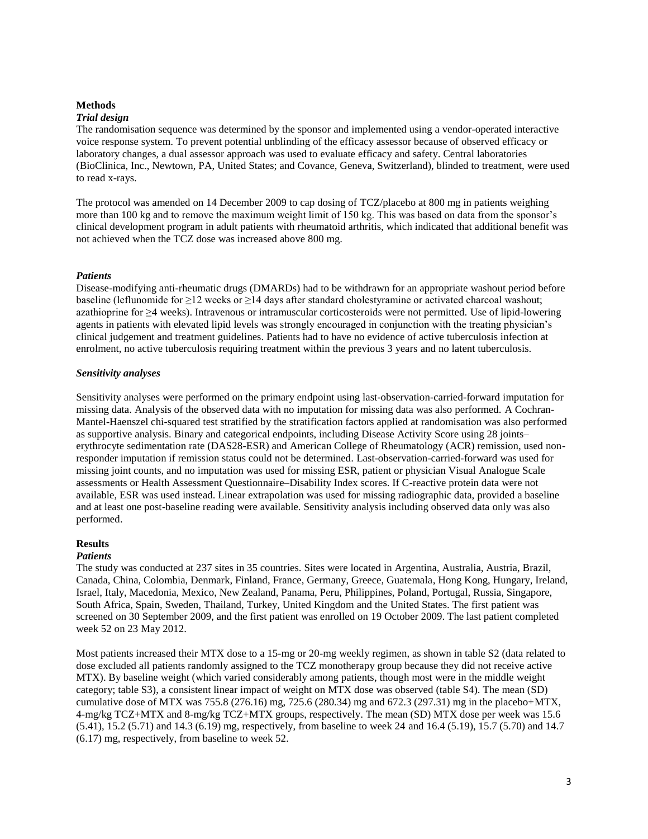# **Methods**

#### *Trial design*

The randomisation sequence was determined by the sponsor and implemented using a vendor-operated interactive voice response system. To prevent potential unblinding of the efficacy assessor because of observed efficacy or laboratory changes, a dual assessor approach was used to evaluate efficacy and safety. Central laboratories (BioClinica, Inc., Newtown, PA, United States; and Covance, Geneva, Switzerland), blinded to treatment, were used to read x-rays.

The protocol was amended on 14 December 2009 to cap dosing of TCZ/placebo at 800 mg in patients weighing more than 100 kg and to remove the maximum weight limit of 150 kg. This was based on data from the sponsor's clinical development program in adult patients with rheumatoid arthritis, which indicated that additional benefit was not achieved when the TCZ dose was increased above 800 mg.

#### *Patients*

Disease-modifying anti-rheumatic drugs (DMARDs) had to be withdrawn for an appropriate washout period before baseline (leflunomide for ≥12 weeks or ≥14 days after standard cholestyramine or activated charcoal washout; azathioprine for ≥4 weeks). Intravenous or intramuscular corticosteroids were not permitted. Use of lipid-lowering agents in patients with elevated lipid levels was strongly encouraged in conjunction with the treating physician's clinical judgement and treatment guidelines. Patients had to have no evidence of active tuberculosis infection at enrolment, no active tuberculosis requiring treatment within the previous 3 years and no latent tuberculosis.

#### *Sensitivity analyses*

Sensitivity analyses were performed on the primary endpoint using last-observation-carried-forward imputation for missing data. Analysis of the observed data with no imputation for missing data was also performed. A Cochran-Mantel-Haenszel chi-squared test stratified by the stratification factors applied at randomisation was also performed as supportive analysis. Binary and categorical endpoints, including Disease Activity Score using 28 joints– erythrocyte sedimentation rate (DAS28-ESR) and American College of Rheumatology (ACR) remission, used nonresponder imputation if remission status could not be determined. Last-observation-carried-forward was used for missing joint counts, and no imputation was used for missing ESR, patient or physician Visual Analogue Scale assessments or Health Assessment Questionnaire–Disability Index scores. If C-reactive protein data were not available, ESR was used instead. Linear extrapolation was used for missing radiographic data, provided a baseline and at least one post-baseline reading were available. Sensitivity analysis including observed data only was also performed.

## **Results**

#### *Patients*

The study was conducted at 237 sites in 35 countries. Sites were located in Argentina, Australia, Austria, Brazil, Canada, China, Colombia, Denmark, Finland, France, Germany, Greece, Guatemala, Hong Kong, Hungary, Ireland, Israel, Italy, Macedonia, Mexico, New Zealand, Panama, Peru, Philippines, Poland, Portugal, Russia, Singapore, South Africa, Spain, Sweden, Thailand, Turkey, United Kingdom and the United States. The first patient was screened on 30 September 2009, and the first patient was enrolled on 19 October 2009. The last patient completed week 52 on 23 May 2012.

Most patients increased their MTX dose to a 15-mg or 20-mg weekly regimen, as shown in table S2 (data related to dose excluded all patients randomly assigned to the TCZ monotherapy group because they did not receive active MTX). By baseline weight (which varied considerably among patients, though most were in the middle weight category; table S3), a consistent linear impact of weight on MTX dose was observed (table S4). The mean (SD) cumulative dose of MTX was 755.8 (276.16) mg, 725.6 (280.34) mg and 672.3 (297.31) mg in the placebo+MTX, 4-mg/kg TCZ+MTX and 8-mg/kg TCZ+MTX groups, respectively. The mean (SD) MTX dose per week was 15.6 (5.41), 15.2 (5.71) and 14.3 (6.19) mg, respectively, from baseline to week 24 and 16.4 (5.19), 15.7 (5.70) and 14.7 (6.17) mg, respectively, from baseline to week 52.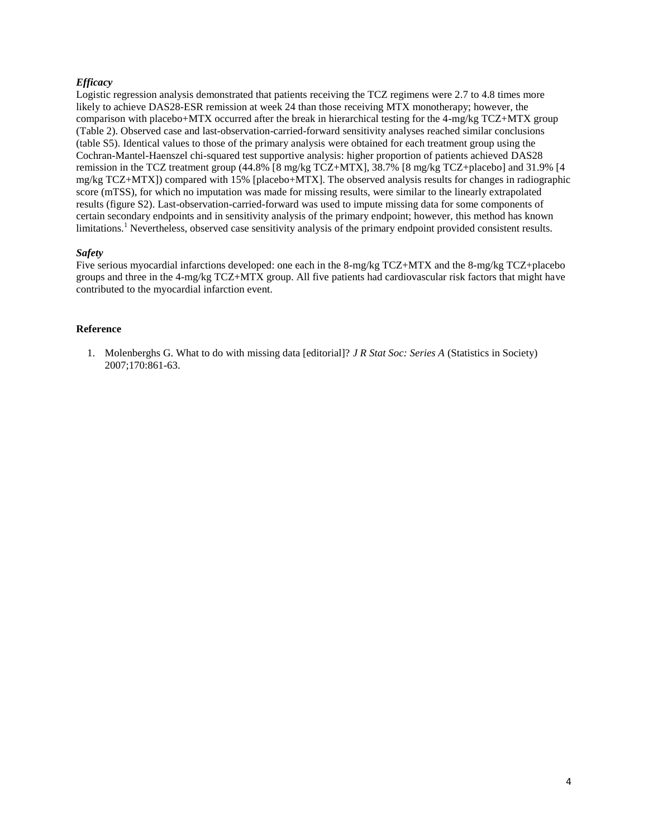## *Efficacy*

Logistic regression analysis demonstrated that patients receiving the TCZ regimens were 2.7 to 4.8 times more likely to achieve DAS28-ESR remission at week 24 than those receiving MTX monotherapy; however, the comparison with placebo+MTX occurred after the break in hierarchical testing for the 4-mg/kg TCZ+MTX group (Table 2). Observed case and last-observation-carried-forward sensitivity analyses reached similar conclusions (table S5). Identical values to those of the primary analysis were obtained for each treatment group using the Cochran-Mantel-Haenszel chi-squared test supportive analysis: higher proportion of patients achieved DAS28 remission in the TCZ treatment group (44.8% [8 mg/kg TCZ+MTX], 38.7% [8 mg/kg TCZ+placebo] and 31.9% [4 mg/kg TCZ+MTX]) compared with 15% [placebo+MTX]. The observed analysis results for changes in radiographic score (mTSS), for which no imputation was made for missing results, were similar to the linearly extrapolated results (figure S2). Last-observation-carried-forward was used to impute missing data for some components of certain secondary endpoints and in sensitivity analysis of the primary endpoint; however, this method has known limitations.<sup>1</sup> Nevertheless, observed case sensitivity analysis of the primary endpoint provided consistent results.

### *Safety*

Five serious myocardial infarctions developed: one each in the 8-mg/kg TCZ+MTX and the 8-mg/kg TCZ+placebo groups and three in the 4-mg/kg TCZ+MTX group. All five patients had cardiovascular risk factors that might have contributed to the myocardial infarction event.

### **Reference**

1. Molenberghs G. What to do with missing data [editorial]? *J R Stat Soc: Series A* (Statistics in Society) 2007;170:861-63.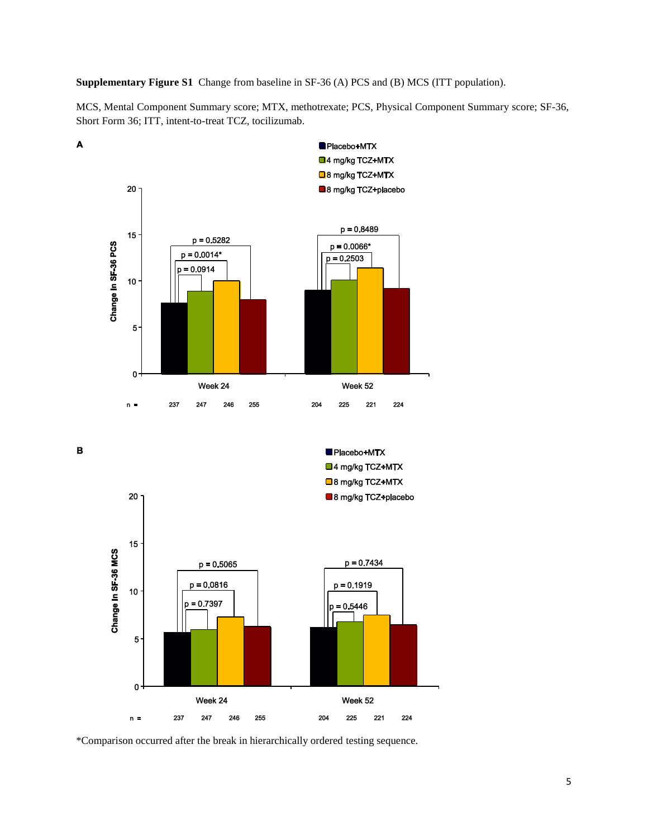**Supplementary Figure S1** Change from baseline in SF-36 (A) PCS and (B) MCS (ITT population).

MCS, Mental Component Summary score; MTX, methotrexate; PCS, Physical Component Summary score; SF-36, Short Form 36; ITT, intent-to-treat TCZ, tocilizumab.



 $\mathbf B$ 

 $\blacktriangle$ 



\*Comparison occurred after the break in hierarchically ordered testing sequence.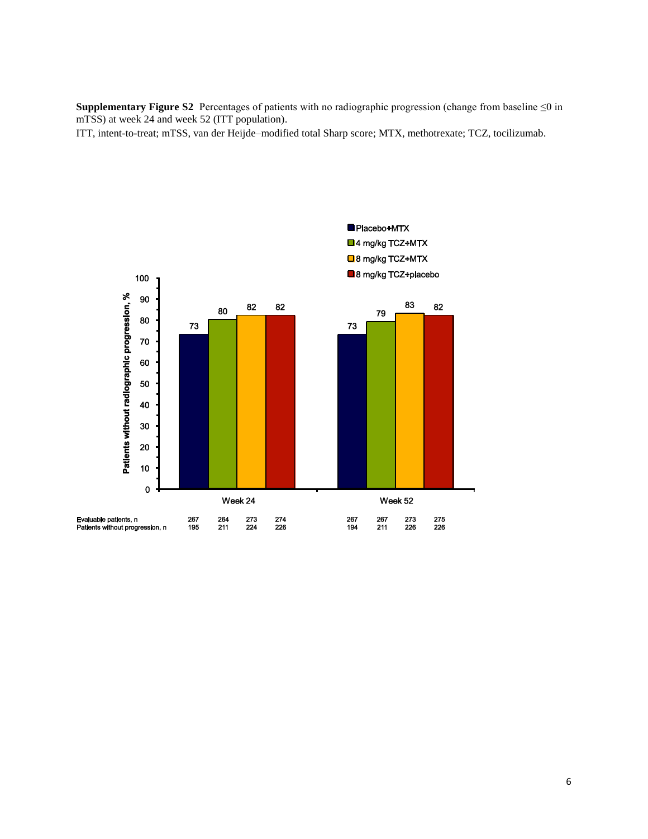**Supplementary Figure S2** Percentages of patients with no radiographic progression (change from baseline ≤0 in mTSS) at week 24 and week 52 (ITT population).

ITT, intent-to-treat; mTSS, van der Heijde–modified total Sharp score; MTX, methotrexate; TCZ, tocilizumab.

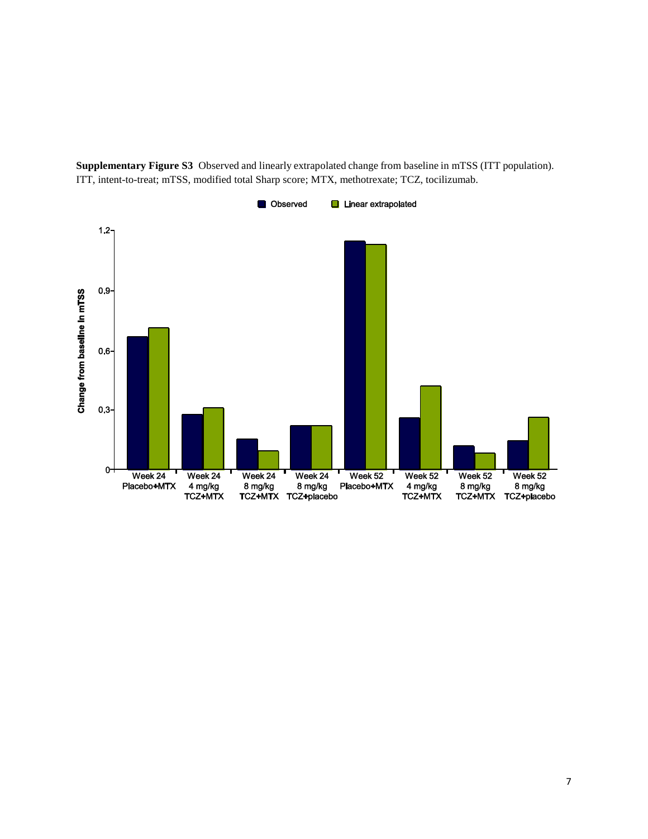

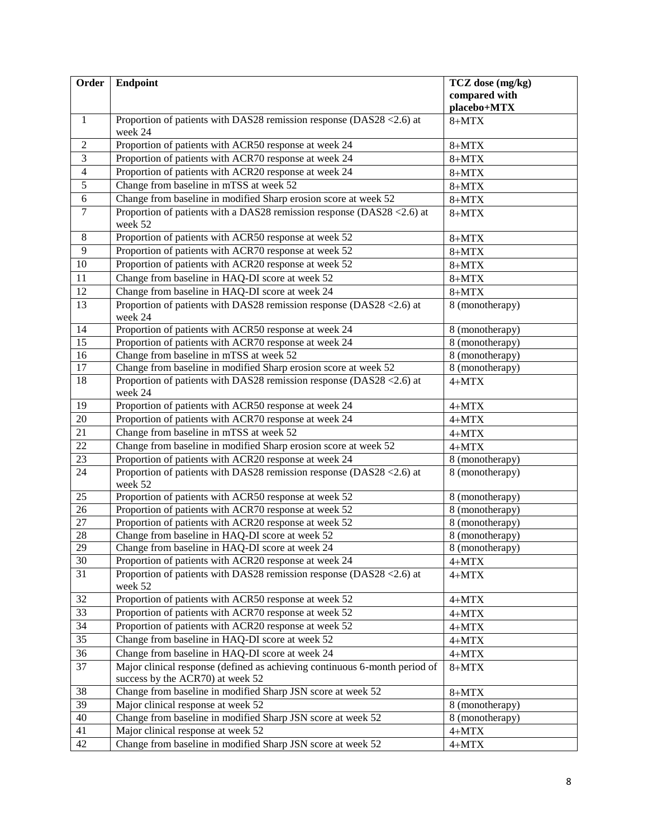| Order           | <b>Endpoint</b>                                                                                                | TCZ dose (mg/kg)             |
|-----------------|----------------------------------------------------------------------------------------------------------------|------------------------------|
|                 |                                                                                                                | compared with<br>placebo+MTX |
| $\mathbf{1}$    | Proportion of patients with DAS28 remission response (DAS28 < 2.6) at<br>week 24                               | $8+MTX$                      |
| $\overline{2}$  | Proportion of patients with ACR50 response at week 24                                                          | $8+MTX$                      |
| $\overline{3}$  | Proportion of patients with ACR70 response at week 24                                                          | $8+MTX$                      |
| $\overline{4}$  | Proportion of patients with ACR20 response at week 24                                                          | $8+MTX$                      |
| $\overline{5}$  | Change from baseline in mTSS at week 52                                                                        | $8+MTX$                      |
| 6               | Change from baseline in modified Sharp erosion score at week 52                                                | $8+MTX$                      |
| $\overline{7}$  | Proportion of patients with a DAS28 remission response (DAS28 <2.6) at<br>week 52                              | $8+MTX$                      |
| 8               | Proportion of patients with ACR50 response at week 52                                                          | $8+MTX$                      |
| 9               | Proportion of patients with ACR70 response at week 52                                                          | $8+MTX$                      |
| 10              | Proportion of patients with ACR20 response at week 52                                                          | $8+MTX$                      |
| 11              | Change from baseline in HAQ-DI score at week 52                                                                | $8+MTX$                      |
| $\overline{12}$ | Change from baseline in HAQ-DI score at week 24                                                                | $8+MTX$                      |
| 13              | Proportion of patients with DAS28 remission response (DAS28 < 2.6) at<br>week 24                               | 8 (monotherapy)              |
| 14              | Proportion of patients with ACR50 response at week 24                                                          | 8 (monotherapy)              |
| 15              | Proportion of patients with ACR70 response at week 24                                                          | 8 (monotherapy)              |
| 16              | Change from baseline in mTSS at week 52                                                                        | 8 (monotherapy)              |
| $\overline{17}$ | Change from baseline in modified Sharp erosion score at week 52                                                | 8 (monotherapy)              |
| 18              | Proportion of patients with DAS28 remission response (DAS28 < 2.6) at<br>week 24                               | $4+MTX$                      |
| 19              | Proportion of patients with ACR50 response at week 24                                                          | $4+MTX$                      |
| $\overline{20}$ | Proportion of patients with ACR70 response at week 24                                                          | $4+MTX$                      |
| 21              | Change from baseline in mTSS at week 52                                                                        | $4+MTX$                      |
| $\overline{22}$ | Change from baseline in modified Sharp erosion score at week 52                                                | $4+MTX$                      |
| 23              | Proportion of patients with ACR20 response at week 24                                                          | 8 (monotherapy)              |
| 24              | Proportion of patients with DAS28 remission response (DAS28 < 2.6) at<br>week 52                               | 8 (monotherapy)              |
| 25              | Proportion of patients with ACR50 response at week 52                                                          | 8 (monotherapy)              |
| 26              | Proportion of patients with ACR70 response at week 52                                                          | 8 (monotherapy)              |
| $\overline{27}$ | Proportion of patients with ACR20 response at week 52                                                          | 8 (monotherapy)              |
| 28              | Change from baseline in HAQ-DI score at week 52                                                                | 8 (monotherapy)              |
| 29              | Change from baseline in HAQ-DI score at week 24                                                                | 8 (monotherapy)              |
| $30\,$          | Proportion of patients with ACR20 response at week 24                                                          | $4+MTX$                      |
| $\overline{31}$ | Proportion of patients with DAS28 remission response (DAS28 <2.6) at<br>week 52                                | $4+MTX$                      |
| 32              | Proportion of patients with ACR50 response at week 52                                                          | $4+MTX$                      |
| 33              | Proportion of patients with ACR70 response at week 52                                                          | $4+MTX$                      |
| 34              | Proportion of patients with ACR20 response at week 52                                                          | $4+MTX$                      |
| 35              | Change from baseline in HAQ-DI score at week 52                                                                | $4+MTX$                      |
| 36              | Change from baseline in HAQ-DI score at week 24                                                                | $4+MTX$                      |
| 37              | Major clinical response (defined as achieving continuous 6-month period of<br>success by the ACR70) at week 52 | $8+MTX$                      |
| 38              | Change from baseline in modified Sharp JSN score at week 52                                                    | $8+MTX$                      |
| 39              | Major clinical response at week 52                                                                             | 8 (monotherapy)              |
| 40              | Change from baseline in modified Sharp JSN score at week 52                                                    | 8 (monotherapy)              |
| 41              | Major clinical response at week 52                                                                             | $4+MTX$                      |
| 42              | Change from baseline in modified Sharp JSN score at week 52                                                    | $4+MTX$                      |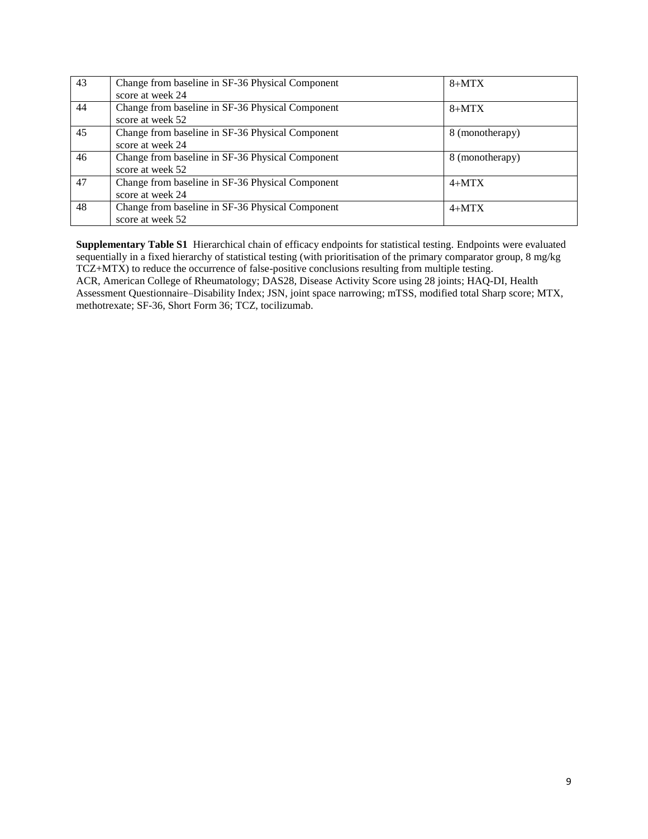| 43 | Change from baseline in SF-36 Physical Component<br>score at week 24 | $8+MTX$         |
|----|----------------------------------------------------------------------|-----------------|
| 44 | Change from baseline in SF-36 Physical Component<br>score at week 52 | $8+MTX$         |
| 45 | Change from baseline in SF-36 Physical Component<br>score at week 24 | 8 (monotherapy) |
| 46 | Change from baseline in SF-36 Physical Component<br>score at week 52 | 8 (monotherapy) |
| 47 | Change from baseline in SF-36 Physical Component<br>score at week 24 | $4+MTX$         |
| 48 | Change from baseline in SF-36 Physical Component<br>score at week 52 | $4+MTX$         |

**Supplementary Table S1** Hierarchical chain of efficacy endpoints for statistical testing. Endpoints were evaluated sequentially in a fixed hierarchy of statistical testing (with prioritisation of the primary comparator group, 8 mg/kg TCZ+MTX) to reduce the occurrence of false-positive conclusions resulting from multiple testing. ACR, American College of Rheumatology; DAS28, Disease Activity Score using 28 joints; HAQ-DI, Health Assessment Questionnaire–Disability Index; JSN, joint space narrowing; mTSS, modified total Sharp score; MTX, methotrexate; SF-36, Short Form 36; TCZ, tocilizumab.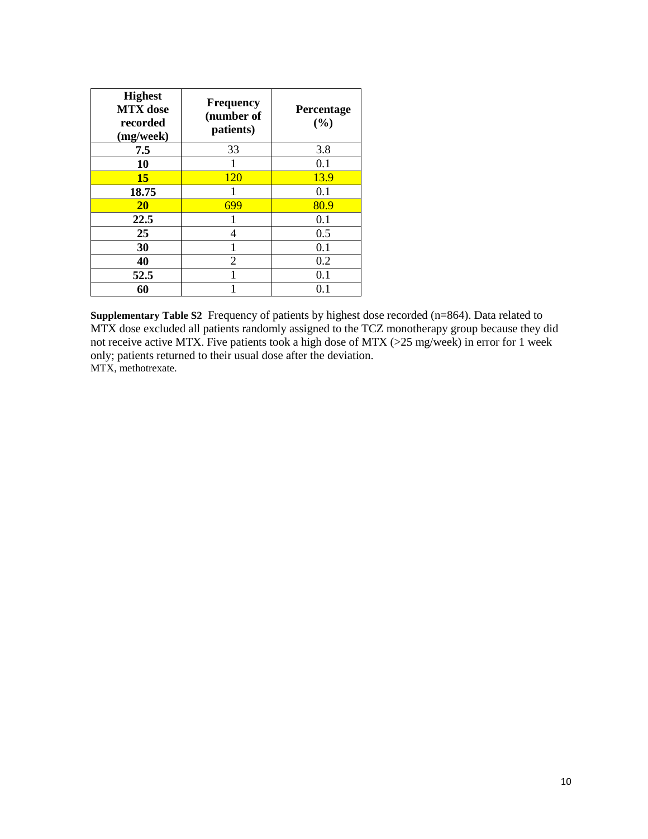| <b>Highest</b><br><b>MTX</b> dose<br>recorded<br>(mg/week) | <b>Frequency</b><br>(number of<br>patients) | Percentage<br>(%) |
|------------------------------------------------------------|---------------------------------------------|-------------------|
| 7.5                                                        | 33                                          | 3.8               |
| 10                                                         |                                             | 0.1               |
| <b>15</b>                                                  | <b>120</b>                                  | 13.9              |
| 18.75                                                      |                                             | 0.1               |
| <b>20</b>                                                  | 699                                         | 80.9              |
| 22.5                                                       |                                             | 0.1               |
| 25                                                         | 4                                           | 0.5               |
| 30                                                         |                                             | 0.1               |
| 40                                                         | 2                                           | 0.2               |
| 52.5                                                       |                                             | 0.1               |
| 60                                                         |                                             | $0.1\,$           |

**Supplementary Table S2** Frequency of patients by highest dose recorded (n=864). Data related to MTX dose excluded all patients randomly assigned to the TCZ monotherapy group because they did not receive active MTX. Five patients took a high dose of MTX (>25 mg/week) in error for 1 week only; patients returned to their usual dose after the deviation. MTX, methotrexate.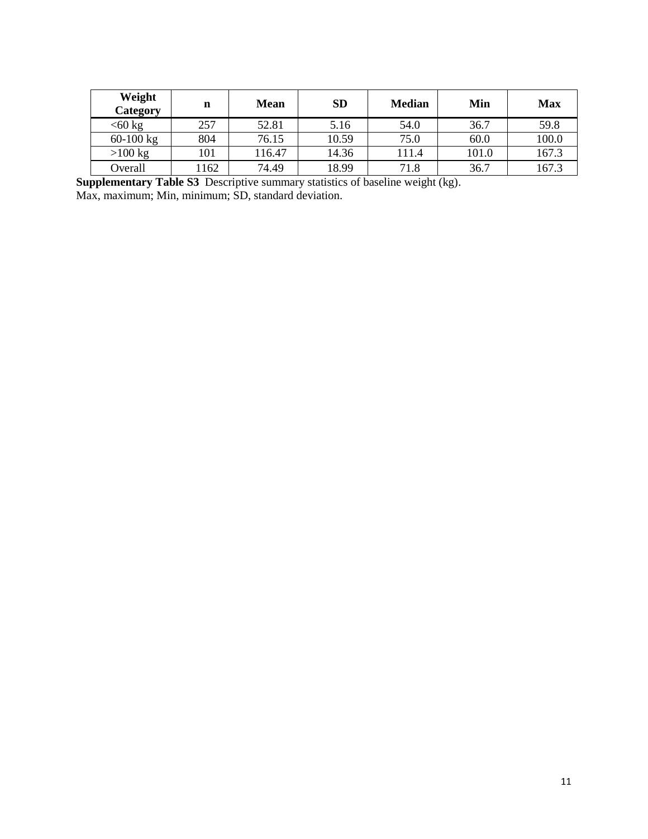| Weight<br>Category | n   | <b>Mean</b> | <b>SD</b> | <b>Median</b> | Min   | <b>Max</b> |
|--------------------|-----|-------------|-----------|---------------|-------|------------|
| $<$ 60 kg          | 257 | 52.81       | 5.16      | 54.0          | 36.7  | 59.8       |
| $60-100$ kg        | 804 | 76.15       | 10.59     | 75.0          | 60.0  | 100.0      |
| $>100$ kg          | 101 | 116.47      | 14.36     | 111.4         | 101.0 | 167.3      |
| Overall            | 162 | 74.49       | 18.99     | 71.8          | 36.7  | 167.3      |

**Supplementary Table S3** Descriptive summary statistics of baseline weight (kg). Max, maximum; Min, minimum; SD, standard deviation.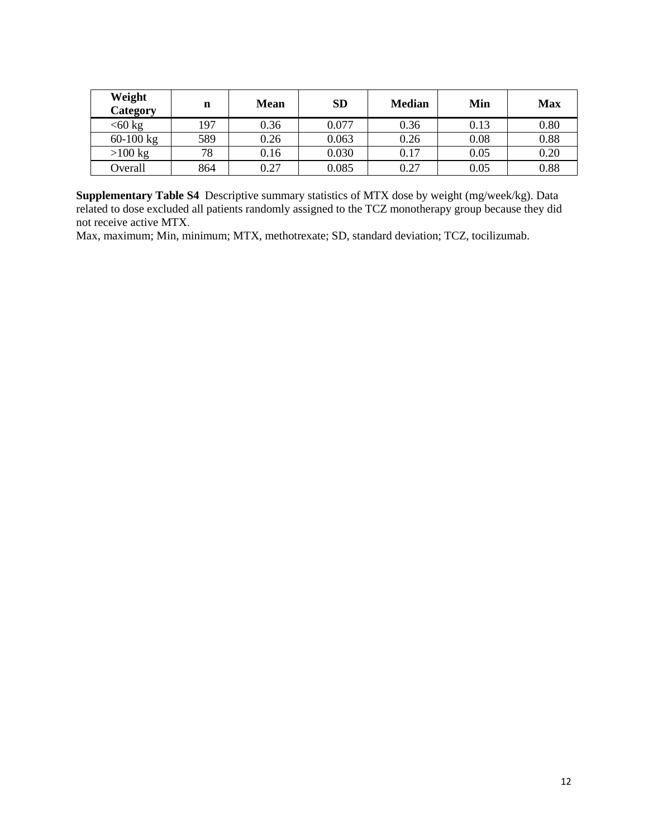| Weight<br>Category | n   | <b>Mean</b> | <b>SD</b> | <b>Median</b> | Min  | <b>Max</b> |
|--------------------|-----|-------------|-----------|---------------|------|------------|
| $<60$ kg           | 197 | 0.36        | 0.077     | 0.36          | 0.13 | 0.80       |
| 60-100 kg          | 589 | 0.26        | 0.063     | 0.26          | 0.08 | 0.88       |
| $>100$ kg          | 78  | 0.16        | 0.030     | 0.17          | 0.05 | 0.20       |
| Overall            | 864 | 0.27        | 0.085     | 0.27          | 0.05 | 0.88       |

**Supplementary Table S4** Descriptive summary statistics of MTX dose by weight (mg/week/kg). Data related to dose excluded all patients randomly assigned to the TCZ monotherapy group because they did not receive active MTX.

Max, maximum; Min, minimum; MTX, methotrexate; SD, standard deviation; TCZ, tocilizumab.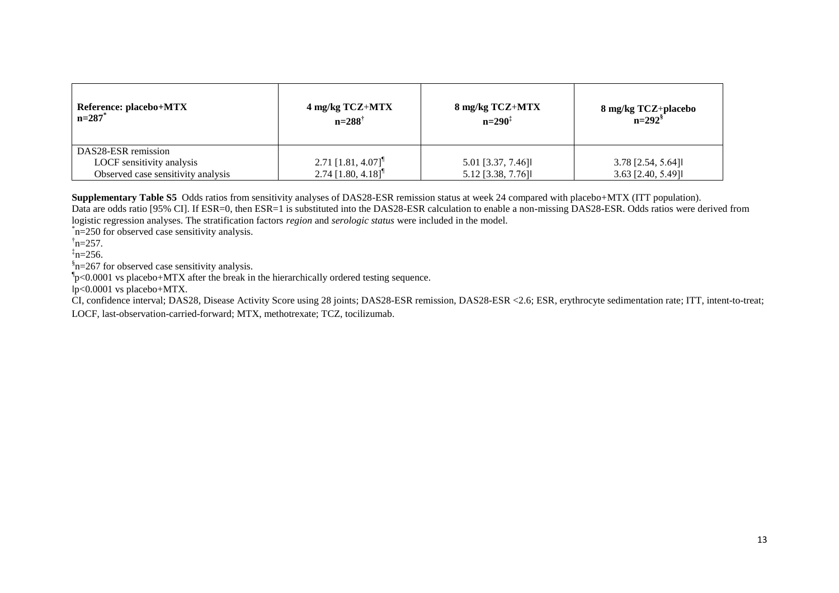| Reference: placebo+MTX<br>n=287 <sup>*</sup>                                           | 4 mg/kg TCZ+MTX<br>$n=288^{\dagger}$                                 | 8 mg/kg TCZ+MTX<br>$n=290^{\ddagger}$  | $8 \text{ mg/kg TCZ + placebo}$<br>$n=292$ |
|----------------------------------------------------------------------------------------|----------------------------------------------------------------------|----------------------------------------|--------------------------------------------|
| DAS28-ESR remission<br>LOCF sensitivity analysis<br>Observed case sensitivity analysis | $2.71$ [1.81, 4.07] <sup>¶</sup><br>2.74 $[1.80, 4.18]$ <sup>1</sup> | 5.01 [3.37, 7.46]<br>5.12 [3.38, 7.76] | $3.78$ [2.54, 5.64]<br>$3.63$ [2.40, 5.49] |

**Supplementary Table S5** Odds ratios from sensitivity analyses of DAS28-ESR remission status at week 24 compared with placebo+MTX (ITT population).

Data are odds ratio [95% CI]. If ESR=0, then ESR=1 is substituted into the DAS28-ESR calculation to enable a non-missing DAS28-ESR. Odds ratios were derived from logistic regression analyses. The stratification factors *region* and *serologic status* were included in the model.

\* n=250 for observed case sensitivity analysis.

 $\text{h}$ =257.

 $\frac{1}{2}n=256$ .

§ n=267 for observed case sensitivity analysis.

 $\approx 0.0001$  vs placebo+MTX after the break in the hierarchically ordered testing sequence.

 $p<0.0001$  vs placebo+MTX.

CI, confidence interval; DAS28, Disease Activity Score using 28 joints; DAS28-ESR remission, DAS28-ESR <2.6; ESR, erythrocyte sedimentation rate; ITT, intent-to-treat;

LOCF, last-observation-carried-forward; MTX, methotrexate; TCZ, tocilizumab.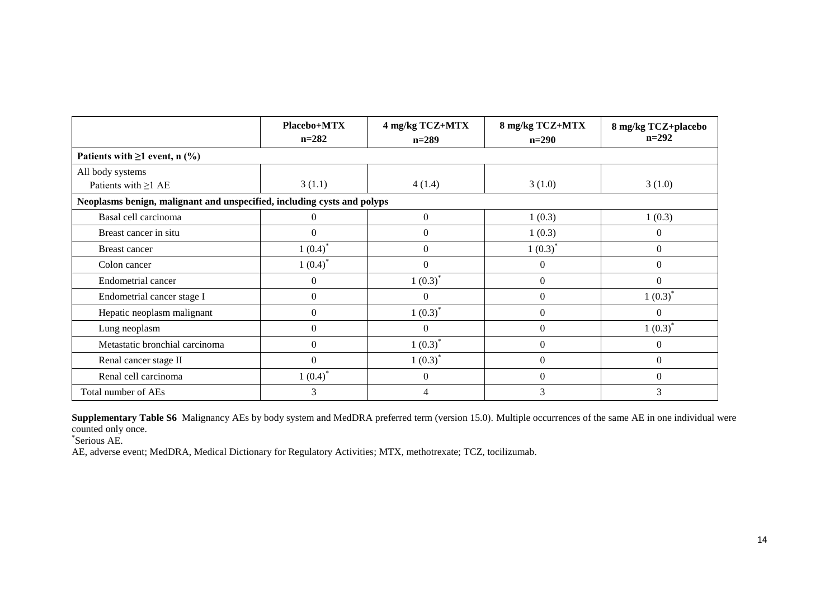|                                                                         | Placebo+MTX<br>$n = 282$ | 4 mg/kg TCZ+MTX<br>$n=289$ | 8 mg/kg TCZ+MTX<br>$n=290$ | 8 mg/kg TCZ+placebo<br>$n=292$ |
|-------------------------------------------------------------------------|--------------------------|----------------------------|----------------------------|--------------------------------|
| Patients with $\geq 1$ event, n (%)                                     |                          |                            |                            |                                |
| All body systems                                                        |                          |                            |                            |                                |
| Patients with $\geq$ 1 AE                                               | 3(1.1)                   | 4(1.4)                     | 3(1.0)                     | 3(1.0)                         |
| Neoplasms benign, malignant and unspecified, including cysts and polyps |                          |                            |                            |                                |
| Basal cell carcinoma                                                    | 0                        | $\boldsymbol{0}$           | 1(0.3)                     | 1(0.3)                         |
| Breast cancer in situ                                                   | $\Omega$                 | $\theta$                   | 1(0.3)                     | $\Omega$                       |
| <b>Breast cancer</b>                                                    | 1(0.4)                   | $\Omega$                   | $1(0.3)^*$                 | $\overline{0}$                 |
| Colon cancer                                                            | $1(0.4)^*$               | $\Omega$                   | $\theta$                   | $\overline{0}$                 |
| Endometrial cancer                                                      | $\overline{0}$           | $1(0.3)^*$                 | $\boldsymbol{0}$           | $\Omega$                       |
| Endometrial cancer stage I                                              | $\overline{0}$           | $\Omega$                   | $\boldsymbol{0}$           | $1(0.3)^*$                     |
| Hepatic neoplasm malignant                                              | $\overline{0}$           | $1(0.3)^*$                 | $\boldsymbol{0}$           | $\Omega$                       |
| Lung neoplasm                                                           | $\Omega$                 | $\Omega$                   | $\boldsymbol{0}$           | $1(0.3)^*$                     |
| Metastatic bronchial carcinoma                                          | $\Omega$                 | $1(0.3)^*$                 | $\Omega$                   | $\Omega$                       |
| Renal cancer stage II                                                   | $\Omega$                 | $1(0.3)^{^*}$              | $\Omega$                   | $\Omega$                       |
| Renal cell carcinoma                                                    | $1(0.4)^*$               | $\theta$                   | $\Omega$                   | $\Omega$                       |
| Total number of AEs                                                     | 3                        | 4                          | 3                          | 3                              |

**Supplementary Table S6** Malignancy AEs by body system and MedDRA preferred term (version 15.0). Multiple occurrences of the same AE in one individual were counted only once.

\* Serious AE.

AE, adverse event; MedDRA, Medical Dictionary for Regulatory Activities; MTX, methotrexate; TCZ, tocilizumab.